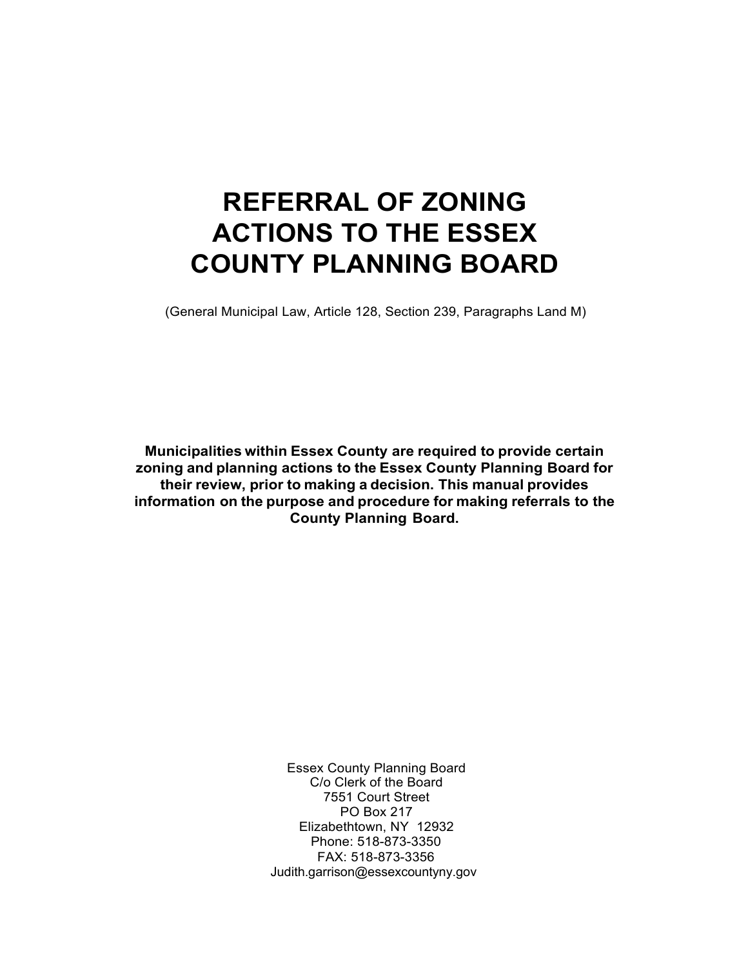# **REFERRAL OF ZONING ACTIONS TO THE ESSEX COUNTY PLANNING BOARD**

(General Municipal Law, Article 128, Section 239, Paragraphs Land M)

**Municipalities within Essex County are required to provide certain zoning and planning actions to the Essex County Planning Board for their review, prior to making a decision. This manual provides information on the purpose and procedure for making referrals to the County Planning Board.**

> Essex County Planning Board C/o Clerk of the Board 7551 Court Street PO Box 217 Elizabethtown, NY 12932 Phone: 518-873-3350 FAX: 518-873-3356 Judith.garrison@essexcountyny.gov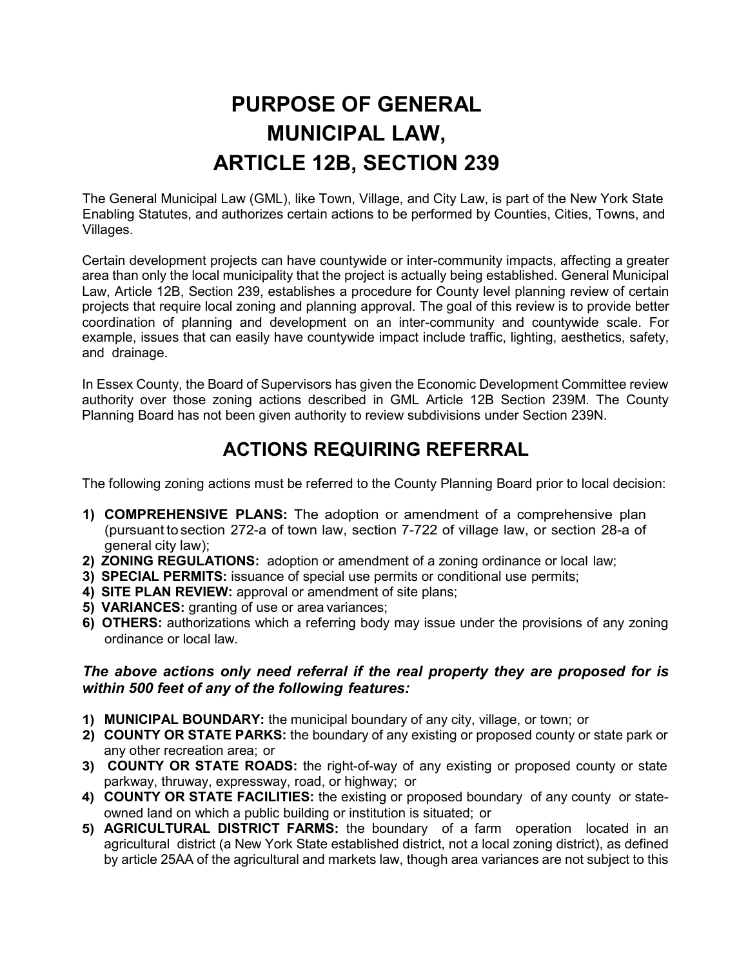## **PURPOSE OF GENERAL MUNICIPAL LAW, ARTICLE 12B, SECTION 239**

The General Municipal Law (GML), like Town, Village, and City Law, is part of the New York State Enabling Statutes, and authorizes certain actions to be performed by Counties, Cities, Towns, and Villages.

Certain development projects can have countywide or inter-community impacts, affecting a greater area than only the local municipality that the project is actually being established. General Municipal Law, Article 12B, Section 239, establishes a procedure for County level planning review of certain projects that require local zoning and planning approval. The goal of this review is to provide better coordination of planning and development on an inter-community and countywide scale. For example, issues that can easily have countywide impact include traffic, lighting, aesthetics, safety, and drainage.

In Essex County, the Board of Supervisors has given the Economic Development Committee review authority over those zoning actions described in GML Article 12B Section 239M. The County Planning Board has not been given authority to review subdivisions under Section 239N.

## **ACTIONS REQUIRING REFERRAL**

The following zoning actions must be referred to the County Planning Board prior to local decision:

- **1) COMPREHENSIVE PLANS:** The adoption or amendment of a comprehensive plan (pursuant tosection 272-a of town law, section 7-722 of village law, or section 28-a of general city law);
- **2) ZONING REGULATIONS:** adoption or amendment of a zoning ordinance or local law;
- **3) SPECIAL PERMITS:** issuance of special use permits or conditional use permits;
- **4) SITE PLAN REVIEW:** approval or amendment of site plans;
- **5) VARIANCES:** granting of use or area variances;
- **6) OTHERS:** authorizations which a referring body may issue under the provisions of any zoning ordinance or local law.

#### *The above actions only need referral if the real property they are proposed for is within 500 feet of any of the following features:*

- **1) MUNICIPAL BOUNDARY:** the municipal boundary of any city, village, or town; or
- **2) COUNTY OR STATE PARKS:** the boundary of any existing or proposed county or state park or any other recreation area; or
- **3) COUNTY OR STATE ROADS:** the right-of-way of any existing or proposed county or state parkway, thruway, expressway, road, or highway; or
- **4) COUNTY OR STATE FACILITIES:** the existing or proposed boundary of any county or stateowned land on which a public building or institution is situated; or
- **5) AGRICULTURAL DISTRICT FARMS:** the boundary of a farm operation located in an agricultural district (a New York State established district, not a local zoning district), as defined by article 25AA of the agricultural and markets law, though area variances are not subject to this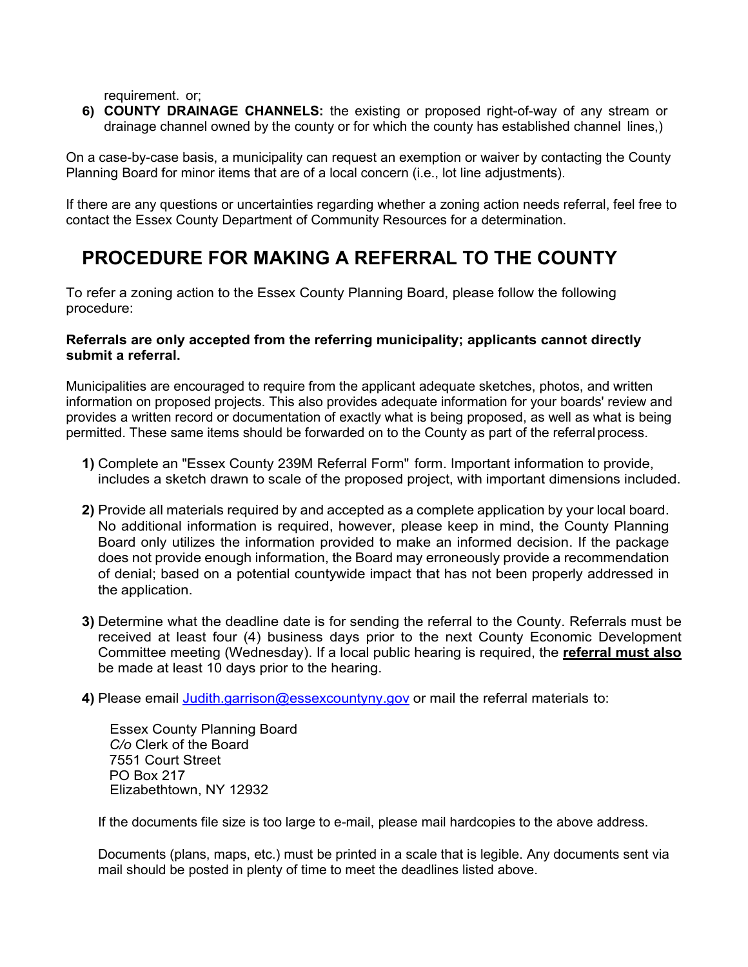requirement. or;

**6) COUNTY DRAINAGE CHANNELS:** the existing or proposed right-of-way of any stream or drainage channel owned by the county or for which the county has established channel lines,)

On a case-by-case basis, a municipality can request an exemption or waiver by contacting the County Planning Board for minor items that are of a local concern (i.e., lot line adjustments).

If there are any questions or uncertainties regarding whether a zoning action needs referral, feel free to contact the Essex County Department of Community Resources for a determination.

## **PROCEDURE FOR MAKING A REFERRAL TO THE COUNTY**

To refer a zoning action to the Essex County Planning Board, please follow the following procedure:

#### **Referrals are only accepted from the referring municipality; applicants cannot directly submit a referral.**

Municipalities are encouraged to require from the applicant adequate sketches, photos, and written information on proposed projects. This also provides adequate information for your boards' review and provides a written record or documentation of exactly what is being proposed, as well as what is being permitted. These same items should be forwarded on to the County as part of the referralprocess.

- **1)** Complete an "Essex County 239M Referral Form" form. Important information to provide, includes a sketch drawn to scale of the proposed project, with important dimensions included.
- **2)** Provide all materials required by and accepted as a complete application by your local board. No additional information is required, however, please keep in mind, the County Planning Board only utilizes the information provided to make an informed decision. If the package does not provide enough information, the Board may erroneously provide a recommendation of denial; based on a potential countywide impact that has not been properly addressed in the application.
- **3)** Determine what the deadline date is for sending the referral to the County. Referrals must be received at least four (4) business days prior to the next County Economic Development Committee meeting (Wednesday). If a local public hearing is required, the **referral must also** be made at least 10 days prior to the hearing.
- **4)** Please email [Judith.garrison@essexcountyny.gov](mailto:Judith.garrison@essexcountyny.gov) or mail the referral materials to:

Essex County Planning Board *C/o* Clerk of the Board 7551 Court Street PO Box 217 Elizabethtown, NY 12932

If the documents file size is too large to e-mail, please mail hardcopies to the above address.

Documents (plans, maps, etc.) must be printed in a scale that is legible. Any documents sent via mail should be posted in plenty of time to meet the deadlines listed above.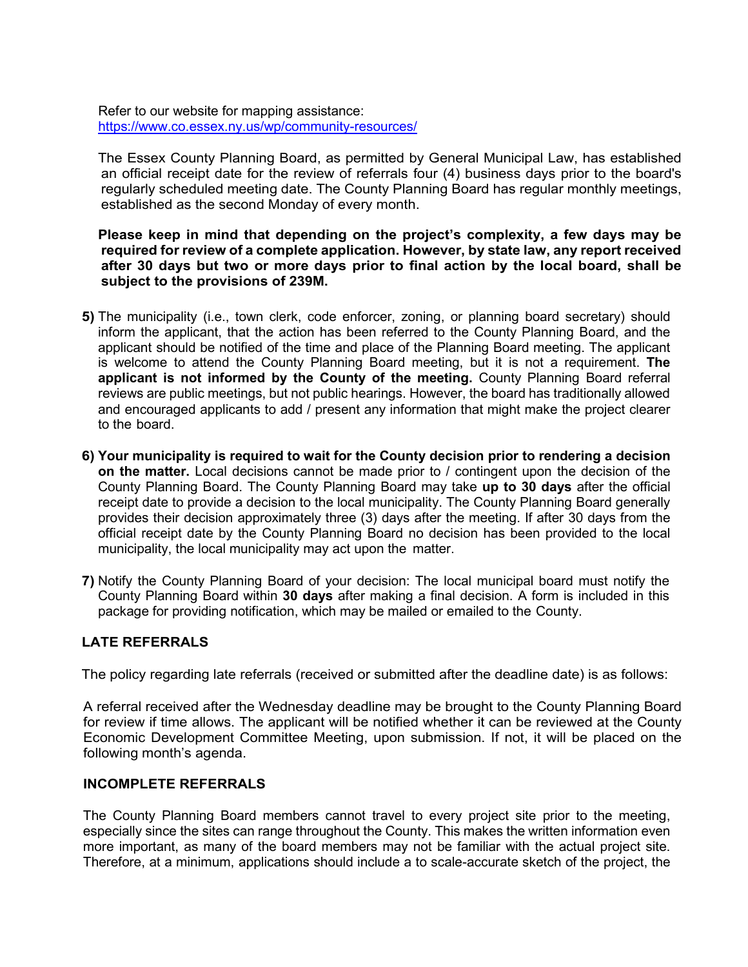Refer to our website for mapping assistance: <https://www.co.essex.ny.us/wp/community-resources/>

The Essex County Planning Board, as permitted by General Municipal Law, has established an official receipt date for the review of referrals four (4) business days prior to the board's regularly scheduled meeting date. The County Planning Board has regular monthly meetings, established as the second Monday of every month.

#### **Please keep in mind that depending on the project's complexity, a few days may be required for review of a complete application. However, by state law, any report received after 30 days but two or more days prior to final action by the local board, shall be subject to the provisions of 239M.**

- **5)** The municipality (i.e., town clerk, code enforcer, zoning, or planning board secretary) should inform the applicant, that the action has been referred to the County Planning Board, and the applicant should be notified of the time and place of the Planning Board meeting. The applicant is welcome to attend the County Planning Board meeting, but it is not a requirement. **The applicant is not informed by the County of the meeting.** County Planning Board referral reviews are public meetings, but not public hearings. However, the board has traditionally allowed and encouraged applicants to add / present any information that might make the project clearer to the board.
- **6) Your municipality is required to wait for the County decision prior to rendering a decision on the matter.** Local decisions cannot be made prior to / contingent upon the decision of the County Planning Board. The County Planning Board may take **up to 30 days** after the official receipt date to provide a decision to the local municipality. The County Planning Board generally provides their decision approximately three (3) days after the meeting. If after 30 days from the official receipt date by the County Planning Board no decision has been provided to the local municipality, the local municipality may act upon the matter.
- **7)** Notify the County Planning Board of your decision: The local municipal board must notify the County Planning Board within **30 days** after making a final decision. A form is included in this package for providing notification, which may be mailed or emailed to the County.

#### **LATE REFERRALS**

The policy regarding late referrals (received or submitted after the deadline date) is as follows:

A referral received after the Wednesday deadline may be brought to the County Planning Board for review if time allows. The applicant will be notified whether it can be reviewed at the County Economic Development Committee Meeting, upon submission. If not, it will be placed on the following month's agenda.

#### **INCOMPLETE REFERRALS**

The County Planning Board members cannot travel to every project site prior to the meeting, especially since the sites can range throughout the County. This makes the written information even more important, as many of the board members may not be familiar with the actual project site. Therefore, at a minimum, applications should include a to scale-accurate sketch of the project, the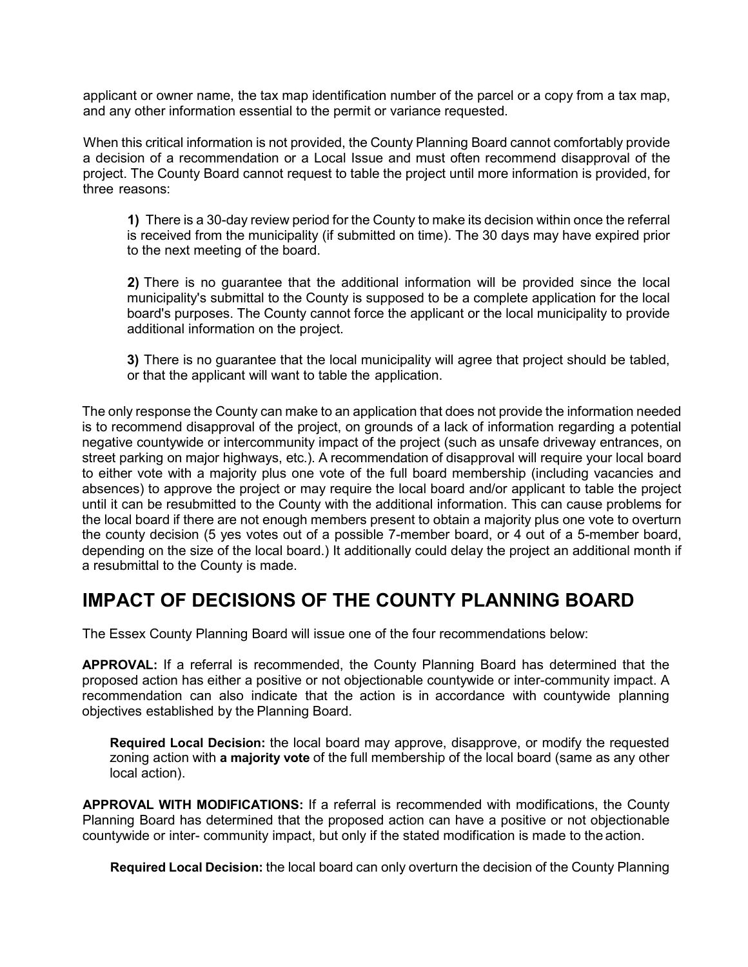applicant or owner name, the tax map identification number of the parcel or a copy from a tax map, and any other information essential to the permit or variance requested.

When this critical information is not provided, the County Planning Board cannot comfortably provide a decision of a recommendation or a Local Issue and must often recommend disapproval of the project. The County Board cannot request to table the project until more information is provided, for three reasons:

**1)** There is a 30-day review period for the County to make its decision within once the referral is received from the municipality (if submitted on time). The 30 days may have expired prior to the next meeting of the board.

**2)** There is no guarantee that the additional information will be provided since the local municipality's submittal to the County is supposed to be a complete application for the local board's purposes. The County cannot force the applicant or the local municipality to provide additional information on the project.

**3)** There is no guarantee that the local municipality will agree that project should be tabled, or that the applicant will want to table the application.

The only response the County can make to an application that does not provide the information needed is to recommend disapproval of the project, on grounds of a lack of information regarding a potential negative countywide or intercommunity impact of the project (such as unsafe driveway entrances, on street parking on major highways, etc.). A recommendation of disapproval will require your local board to either vote with a majority plus one vote of the full board membership (including vacancies and absences) to approve the project or may require the local board and/or applicant to table the project until it can be resubmitted to the County with the additional information. This can cause problems for the local board if there are not enough members present to obtain a majority plus one vote to overturn the county decision (5 yes votes out of a possible 7-member board, or 4 out of a 5-member board, depending on the size of the local board.) It additionally could delay the project an additional month if a resubmittal to the County is made.

### **IMPACT OF DECISIONS OF THE COUNTY PLANNING BOARD**

The Essex County Planning Board will issue one of the four recommendations below:

**APPROVAL:** If a referral is recommended, the County Planning Board has determined that the proposed action has either a positive or not objectionable countywide or inter-community impact. A recommendation can also indicate that the action is in accordance with countywide planning objectives established by the Planning Board.

**Required Local Decision:** the local board may approve, disapprove, or modify the requested zoning action with **a majority vote** of the full membership of the local board (same as any other local action).

**APPROVAL WITH MODIFICATIONS:** If a referral is recommended with modifications, the County Planning Board has determined that the proposed action can have a positive or not objectionable countywide or inter- community impact, but only if the stated modification is made to the action.

**Required Local Decision:** the local board can only overturn the decision of the County Planning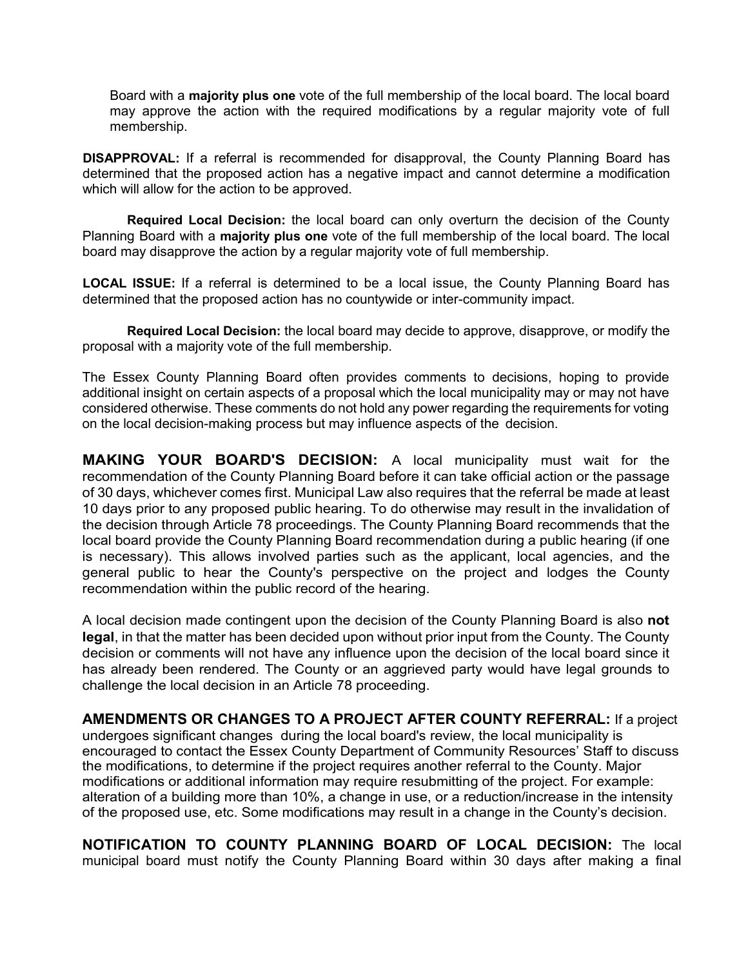Board with a **majority plus one** vote of the full membership of the local board. The local board may approve the action with the required modifications by a regular majority vote of full membership.

**DISAPPROVAL:** If a referral is recommended for disapproval, the County Planning Board has determined that the proposed action has a negative impact and cannot determine a modification which will allow for the action to be approved.

**Required Local Decision:** the local board can only overturn the decision of the County Planning Board with a **majority plus one** vote of the full membership of the local board. The local board may disapprove the action by a regular majority vote of full membership.

**LOCAL ISSUE:** If a referral is determined to be a local issue, the County Planning Board has determined that the proposed action has no countywide or inter-community impact.

**Required Local Decision:** the local board may decide to approve, disapprove, or modify the proposal with a majority vote of the full membership.

The Essex County Planning Board often provides comments to decisions, hoping to provide additional insight on certain aspects of a proposal which the local municipality may or may not have considered otherwise. These comments do not hold any power regarding the requirements for voting on the local decision-making process but may influence aspects of the decision.

**MAKING YOUR BOARD'S DECISION:** A local municipality must wait for the recommendation of the County Planning Board before it can take official action or the passage of 30 days, whichever comes first. Municipal Law also requires that the referral be made at least 10 days prior to any proposed public hearing. To do otherwise may result in the invalidation of the decision through Article 78 proceedings. The County Planning Board recommends that the local board provide the County Planning Board recommendation during a public hearing (if one is necessary). This allows involved parties such as the applicant, local agencies, and the general public to hear the County's perspective on the project and lodges the County recommendation within the public record of the hearing.

A local decision made contingent upon the decision of the County Planning Board is also **not legal**, in that the matter has been decided upon without prior input from the County. The County decision or comments will not have any influence upon the decision of the local board since it has already been rendered. The County or an aggrieved party would have legal grounds to challenge the local decision in an Article 78 proceeding.

**AMENDMENTS OR CHANGES TO A PROJECT AFTER COUNTY REFERRAL:** If a project undergoes significant changes during the local board's review, the local municipality is encouraged to contact the Essex County Department of Community Resources' Staff to discuss the modifications, to determine if the project requires another referral to the County. Major modifications or additional information may require resubmitting of the project. For example: alteration of a building more than 10%, a change in use, or a reduction/increase in the intensity of the proposed use, etc. Some modifications may result in a change in the County's decision.

**NOTIFICATION TO COUNTY PLANNING BOARD OF LOCAL DECISION:** The local municipal board must notify the County Planning Board within 30 days after making a final